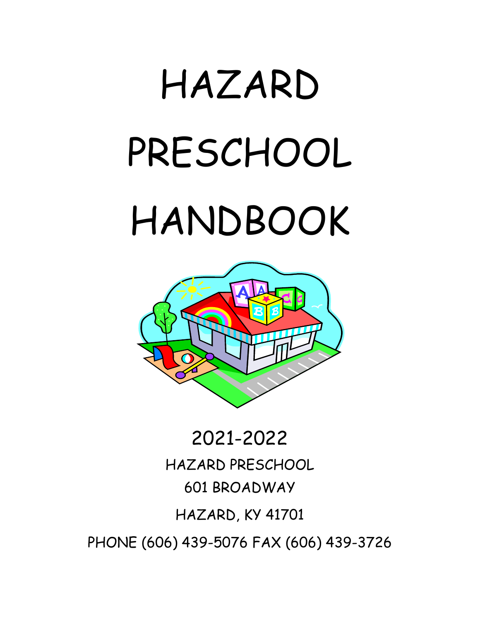# HAZARD PRESCHOOL HANDBOOK



# 2021-2022 HAZARD PRESCHOOL 601 BROADWAY HAZARD, KY 41701 PHONE (606) 439-5076 FAX (606) 439-3726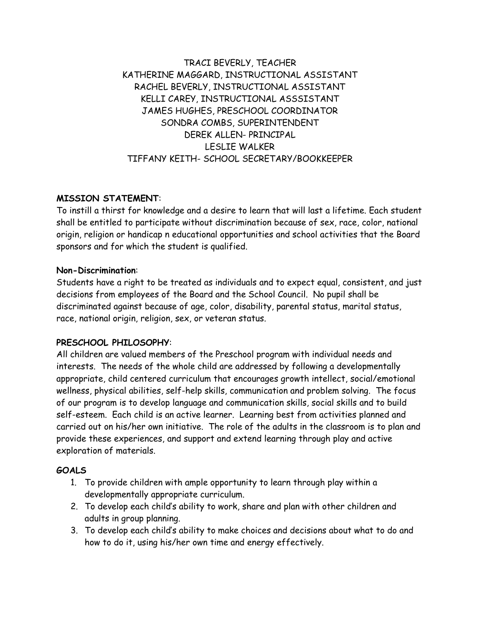TRACI BEVERLY, TEACHER KATHERINE MAGGARD, INSTRUCTIONAL ASSISTANT RACHEL BEVERLY, INSTRUCTIONAL ASSISTANT KELLI CAREY, INSTRUCTIONAL ASSSISTANT JAMES HUGHES, PRESCHOOL COORDINATOR SONDRA COMBS, SUPERINTENDENT DEREK ALLEN- PRINCIPAL LESLIE WALKER TIFFANY KEITH- SCHOOL SECRETARY/BOOKKEEPER

#### **MISSION STATEMENT**:

To instill a thirst for knowledge and a desire to learn that will last a lifetime. Each student shall be entitled to participate without discrimination because of sex, race, color, national origin, religion or handicap n educational opportunities and school activities that the Board sponsors and for which the student is qualified.

#### **Non-Discrimination**:

Students have a right to be treated as individuals and to expect equal, consistent, and just decisions from employees of the Board and the School Council. No pupil shall be discriminated against because of age, color, disability, parental status, marital status, race, national origin, religion, sex, or veteran status.

#### **PRESCHOOL PHILOSOPHY**:

All children are valued members of the Preschool program with individual needs and interests. The needs of the whole child are addressed by following a developmentally appropriate, child centered curriculum that encourages growth intellect, social/emotional wellness, physical abilities, self-help skills, communication and problem solving. The focus of our program is to develop language and communication skills, social skills and to build self-esteem. Each child is an active learner. Learning best from activities planned and carried out on his/her own initiative. The role of the adults in the classroom is to plan and provide these experiences, and support and extend learning through play and active exploration of materials.

#### **GOALS**

- 1. To provide children with ample opportunity to learn through play within a developmentally appropriate curriculum.
- 2. To develop each child's ability to work, share and plan with other children and adults in group planning.
- 3. To develop each child's ability to make choices and decisions about what to do and how to do it, using his/her own time and energy effectively.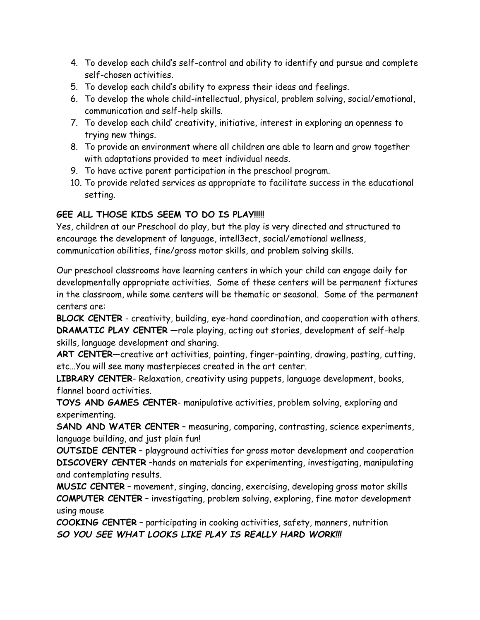- 4. To develop each child's self-control and ability to identify and pursue and complete self-chosen activities.
- 5. To develop each child's ability to express their ideas and feelings.
- 6. To develop the whole child-intellectual, physical, problem solving, social/emotional, communication and self-help skills.
- 7. To develop each child' creativity, initiative, interest in exploring an openness to trying new things.
- 8. To provide an environment where all children are able to learn and grow together with adaptations provided to meet individual needs.
- 9. To have active parent participation in the preschool program.
- 10. To provide related services as appropriate to facilitate success in the educational setting.

#### **GEE ALL THOSE KIDS SEEM TO DO IS PLAY!!!!!**

Yes, children at our Preschool do play, but the play is very directed and structured to encourage the development of language, intell3ect, social/emotional wellness, communication abilities, fine/gross motor skills, and problem solving skills.

Our preschool classrooms have learning centers in which your child can engage daily for developmentally appropriate activities. Some of these centers will be permanent fixtures in the classroom, while some centers will be thematic or seasonal. Some of the permanent centers are:

**BLOCK CENTER** - creativity, building, eye-hand coordination, and cooperation with others. **DRAMATIC PLAY CENTER** —role playing, acting out stories, development of self-help skills, language development and sharing.

**ART CENTER**—creative art activities, painting, finger-painting, drawing, pasting, cutting, etc…You will see many masterpieces created in the art center.

**LIBRARY CENTER**- Relaxation, creativity using puppets, language development, books, flannel board activities.

**TOYS AND GAMES CENTER**- manipulative activities, problem solving, exploring and experimenting.

**SAND AND WATER CENTER** – measuring, comparing, contrasting, science experiments, language building, and just plain fun!

**OUTSIDE CENTER** – playground activities for gross motor development and cooperation **DISCOVERY CENTER** –hands on materials for experimenting, investigating, manipulating and contemplating results.

**MUSIC CENTER** – movement, singing, dancing, exercising, developing gross motor skills **COMPUTER CENTER** – investigating, problem solving, exploring, fine motor development using mouse

**COOKING CENTER** – participating in cooking activities, safety, manners, nutrition *SO YOU SEE WHAT LOOKS LIKE PLAY IS REALLY HARD WORK!!!*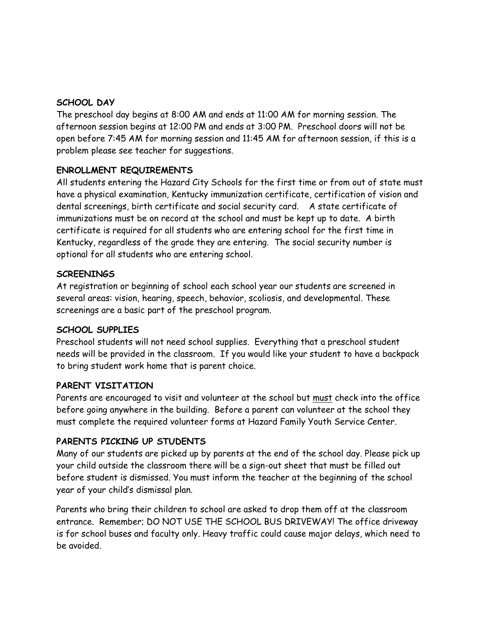#### **SCHOOL DAY**

The preschool day begins at 8:00 AM and ends at 11:00 AM for morning session. The afternoon session begins at 12:00 PM and ends at 3:00 PM. Preschool doors will not be open before 7:45 AM for morning session and 11:45 AM for afternoon session, if this is a problem please see teacher for suggestions.

#### **ENROLLMENT REQUIREMENTS**

All students entering the Hazard City Schools for the first time or from out of state must have a physical examination, Kentucky immunization certificate, certification of vision and dental screenings, birth certificate and social security card. A state certificate of immunizations must be on record at the school and must be kept up to date. A birth certificate is required for all students who are entering school for the first time in Kentucky, regardless of the grade they are entering. The social security number is optional for all students who are entering school.

#### **SCREENINGS**

At registration or beginning of school each school year our students are screened in several areas: vision, hearing, speech, behavior, scoliosis, and developmental. These screenings are a basic part of the preschool program.

#### **SCHOOL SUPPLIES**

Preschool students will not need school supplies. Everything that a preschool student needs will be provided in the classroom. If you would like your student to have a backpack to bring student work home that is parent choice.

#### **PARENT VISITATION**

Parents are encouraged to visit and volunteer at the school but must check into the office before going anywhere in the building. Before a parent can volunteer at the school they must complete the required volunteer forms at Hazard Family Youth Service Center.

#### **PARENTS PICKING UP STUDENTS**

Many of our students are picked up by parents at the end of the school day. Please pick up your child outside the classroom there will be a sign-out sheet that must be filled out before student is dismissed. You must inform the teacher at the beginning of the school year of your child's dismissal plan.

Parents who bring their children to school are asked to drop them off at the classroom entrance. Remember; DO NOT USE THE SCHOOL BUS DRIVEWAY! The office driveway is for school buses and faculty only. Heavy traffic could cause major delays, which need to be avoided.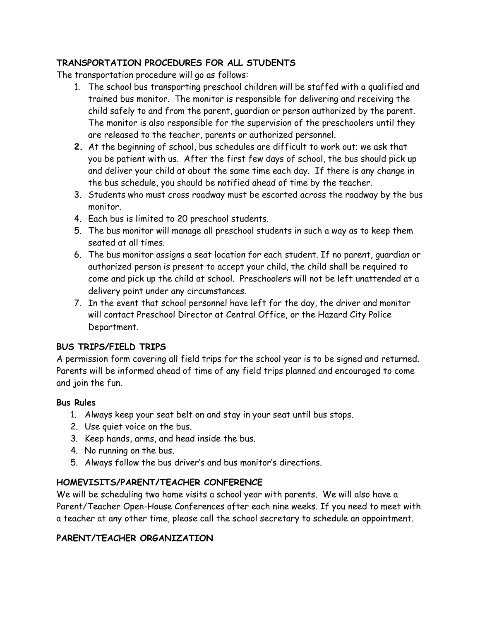#### **TRANSPORTATION PROCEDURES FOR ALL STUDENTS**

The transportation procedure will go as follows:

- 1. The school bus transporting preschool children will be staffed with a qualified and trained bus monitor. The monitor is responsible for delivering and receiving the child safely to and from the parent, guardian or person authorized by the parent. The monitor is also responsible for the supervision of the preschoolers until they are released to the teacher, parents or authorized personnel.
- **2.** At the beginning of school, bus schedules are difficult to work out; we ask that you be patient with us. After the first few days of school, the bus should pick up and deliver your child at about the same time each day. If there is any change in the bus schedule, you should be notified ahead of time by the teacher.
- 3. Students who must cross roadway must be escorted across the roadway by the bus monitor.
- 4. Each bus is limited to 20 preschool students.
- 5. The bus monitor will manage all preschool students in such a way as to keep them seated at all times.
- 6. The bus monitor assigns a seat location for each student. If no parent, guardian or authorized person is present to accept your child, the child shall be required to come and pick up the child at school. Preschoolers will not be left unattended at a delivery point under any circumstances.
- 7. In the event that school personnel have left for the day, the driver and monitor will contact Preschool Director at Central Office, or the Hazard City Police Department.

#### **BUS TRIPS/FIELD TRIPS**

A permission form covering all field trips for the school year is to be signed and returned. Parents will be informed ahead of time of any field trips planned and encouraged to come and join the fun.

#### **Bus Rules**

- 1. Always keep your seat belt on and stay in your seat until bus stops.
- 2. Use quiet voice on the bus.
- 3. Keep hands, arms, and head inside the bus.
- 4. No running on the bus.
- 5. Always follow the bus driver's and bus monitor's directions.

#### **HOMEVISITS/PARENT/TEACHER CONFERENCE**

We will be scheduling two home visits a school year with parents. We will also have a Parent/Teacher Open-House Conferences after each nine weeks. If you need to meet with a teacher at any other time, please call the school secretary to schedule an appointment.

#### **PARENT/TEACHER ORGANIZATION**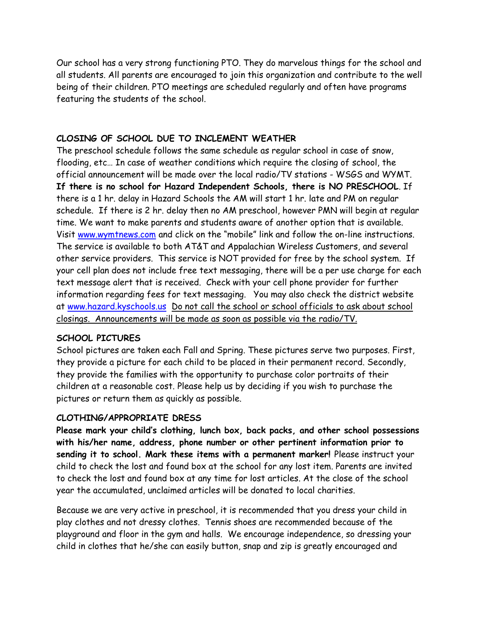Our school has a very strong functioning PTO. They do marvelous things for the school and all students. All parents are encouraged to join this organization and contribute to the well being of their children. PTO meetings are scheduled regularly and often have programs featuring the students of the school.

#### **CLOSING OF SCHOOL DUE TO INCLEMENT WEATHER**

The preschool schedule follows the same schedule as regular school in case of snow, flooding, etc… In case of weather conditions which require the closing of school, the official announcement will be made over the local radio/TV stations - WSGS and WYMT. **If there is no school for Hazard Independent Schools, there is NO PRESCHOOL**. If there is a 1 hr. delay in Hazard Schools the AM will start 1 hr. late and PM on regular schedule. If there is 2 hr. delay then no AM preschool, however PMN will begin at regular time. We want to make parents and students aware of another option that is available. Visit [www.wymtnews.com](http://www.wymtnews.com/) and click on the "mobile" link and follow the on-line instructions. The service is available to both AT&T and Appalachian Wireless Customers, and several other service providers. This service is NOT provided for free by the school system. If your cell plan does not include free text messaging, there will be a per use charge for each text message alert that is received. Check with your cell phone provider for further information regarding fees for text messaging. You may also check the district website at [www.hazard.kyschools.us](http://www.hazard.kyschools.us/) Do not call the school or school officials to ask about school closings. Announcements will be made as soon as possible via the radio/TV.

#### **SCHOOL PICTURES**

School pictures are taken each Fall and Spring. These pictures serve two purposes. First, they provide a picture for each child to be placed in their permanent record. Secondly, they provide the families with the opportunity to purchase color portraits of their children at a reasonable cost. Please help us by deciding if you wish to purchase the pictures or return them as quickly as possible.

#### **CLOTHING/APPROPRIATE DRESS**

**Please mark your child's clothing, lunch box, back packs, and other school possessions with his/her name, address, phone number or other pertinent information prior to sending it to school. Mark these items with a permanent marker!** Please instruct your child to check the lost and found box at the school for any lost item. Parents are invited to check the lost and found box at any time for lost articles. At the close of the school year the accumulated, unclaimed articles will be donated to local charities.

Because we are very active in preschool, it is recommended that you dress your child in play clothes and not dressy clothes. Tennis shoes are recommended because of the playground and floor in the gym and halls. We encourage independence, so dressing your child in clothes that he/she can easily button, snap and zip is greatly encouraged and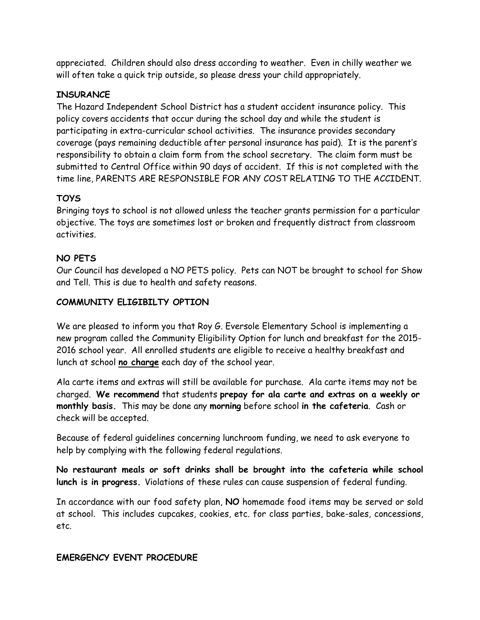appreciated. Children should also dress according to weather. Even in chilly weather we will often take a quick trip outside, so please dress your child appropriately.

#### **INSURANCE**

The Hazard Independent School District has a student accident insurance policy. This policy covers accidents that occur during the school day and while the student is participating in extra-curricular school activities. The insurance provides secondary coverage (pays remaining deductible after personal insurance has paid). It is the parent's responsibility to obtain a claim form from the school secretary. The claim form must be submitted to Central Office within 90 days of accident. If this is not completed with the time line, PARENTS ARE RESPONSIBLE FOR ANY COST RELATING TO THE ACCIDENT.

#### **TOYS**

Bringing toys to school is not allowed unless the teacher grants permission for a particular objective. The toys are sometimes lost or broken and frequently distract from classroom activities.

#### **NO PETS**

Our Council has developed a NO PETS policy. Pets can NOT be brought to school for Show and Tell. This is due to health and safety reasons.

#### **COMMUNITY ELIGIBILTY OPTION**

We are pleased to inform you that Roy G. Eversole Elementary School is implementing a new program called the Community Eligibility Option for lunch and breakfast for the 2015- 2016 school year. All enrolled students are eligible to receive a healthy breakfast and lunch at school **no charge** each day of the school year.

Ala carte items and extras will still be available for purchase. Ala carte items may not be charged. **We recommend** that students **prepay for ala carte and extras on a weekly or monthly basis.** This may be done any **morning** before school **in the cafeteria**. Cash or check will be accepted.

Because of federal guidelines concerning lunchroom funding, we need to ask everyone to help by complying with the following federal regulations.

**No restaurant meals or soft drinks shall be brought into the cafeteria while school lunch is in progress.** Violations of these rules can cause suspension of federal funding.

In accordance with our food safety plan, **NO** homemade food items may be served or sold at school. This includes cupcakes, cookies, etc. for class parties, bake-sales, concessions, etc.

#### **EMERGENCY EVENT PROCEDURE**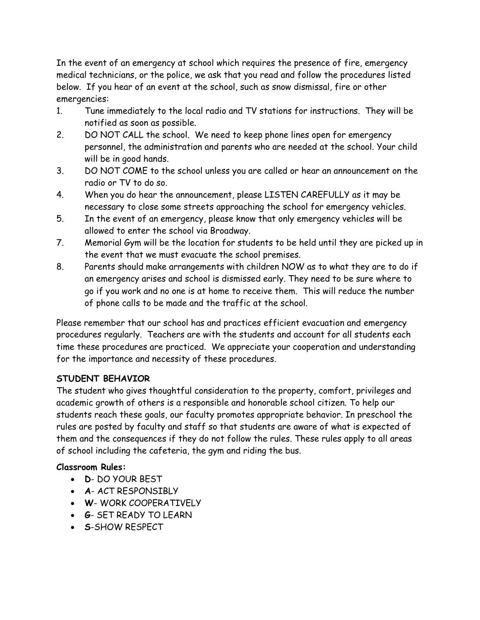In the event of an emergency at school which requires the presence of fire, emergency medical technicians, or the police, we ask that you read and follow the procedures listed below. If you hear of an event at the school, such as snow dismissal, fire or other emergencies:

- 1. Tune immediately to the local radio and TV stations for instructions. They will be notified as soon as possible.
- 2. DO NOT CALL the school. We need to keep phone lines open for emergency personnel, the administration and parents who are needed at the school. Your child will be in good hands.
- 3. DO NOT COME to the school unless you are called or hear an announcement on the radio or TV to do so.
- 4. When you do hear the announcement, please LISTEN CAREFULLY as it may be necessary to close some streets approaching the school for emergency vehicles.
- 5. In the event of an emergency, please know that only emergency vehicles will be allowed to enter the school via Broadway.
- 7. Memorial Gym will be the location for students to be held until they are picked up in the event that we must evacuate the school premises.
- 8. Parents should make arrangements with children NOW as to what they are to do if an emergency arises and school is dismissed early. They need to be sure where to go if you work and no one is at home to receive them. This will reduce the number of phone calls to be made and the traffic at the school.

Please remember that our school has and practices efficient evacuation and emergency procedures regularly. Teachers are with the students and account for all students each time these procedures are practiced. We appreciate your cooperation and understanding for the importance and necessity of these procedures.

#### **STUDENT BEHAVIOR**

The student who gives thoughtful consideration to the property, comfort, privileges and academic growth of others is a responsible and honorable school citizen. To help our students reach these goals, our faculty promotes appropriate behavior. In preschool the rules are posted by faculty and staff so that students are aware of what is expected of them and the consequences if they do not follow the rules. These rules apply to all areas of school including the cafeteria, the gym and riding the bus.

#### **Classroom Rules:**

- **D** DO YOUR BEST
- **A** ACT RESPONSIBLY
- **W** WORK COOPERATIVELY
- **G** SET READY TO LEARN
- **S**-SHOW RESPECT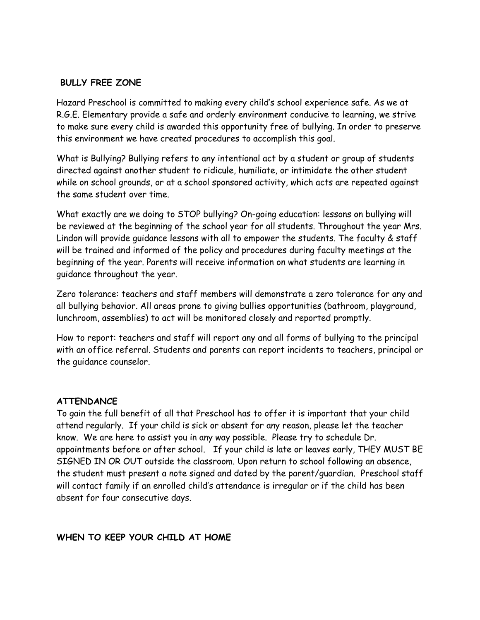#### **BULLY FREE ZONE**

Hazard Preschool is committed to making every child's school experience safe. As we at R.G.E. Elementary provide a safe and orderly environment conducive to learning, we strive to make sure every child is awarded this opportunity free of bullying. In order to preserve this environment we have created procedures to accomplish this goal.

What is Bullying? Bullying refers to any intentional act by a student or group of students directed against another student to ridicule, humiliate, or intimidate the other student while on school grounds, or at a school sponsored activity, which acts are repeated against the same student over time.

What exactly are we doing to STOP bullying? On-going education: lessons on bullying will be reviewed at the beginning of the school year for all students. Throughout the year Mrs. Lindon will provide guidance lessons with all to empower the students. The faculty & staff will be trained and informed of the policy and procedures during faculty meetings at the beginning of the year. Parents will receive information on what students are learning in guidance throughout the year.

Zero tolerance: teachers and staff members will demonstrate a zero tolerance for any and all bullying behavior. All areas prone to giving bullies opportunities (bathroom, playground, lunchroom, assemblies) to act will be monitored closely and reported promptly.

How to report: teachers and staff will report any and all forms of bullying to the principal with an office referral. Students and parents can report incidents to teachers, principal or the guidance counselor.

#### **ATTENDANCE**

To gain the full benefit of all that Preschool has to offer it is important that your child attend regularly. If your child is sick or absent for any reason, please let the teacher know. We are here to assist you in any way possible. Please try to schedule Dr. appointments before or after school. If your child is late or leaves early, THEY MUST BE SIGNED IN OR OUT outside the classroom. Upon return to school following an absence, the student must present a note signed and dated by the parent/guardian. Preschool staff will contact family if an enrolled child's attendance is irregular or if the child has been absent for four consecutive days.

#### **WHEN TO KEEP YOUR CHILD AT HOME**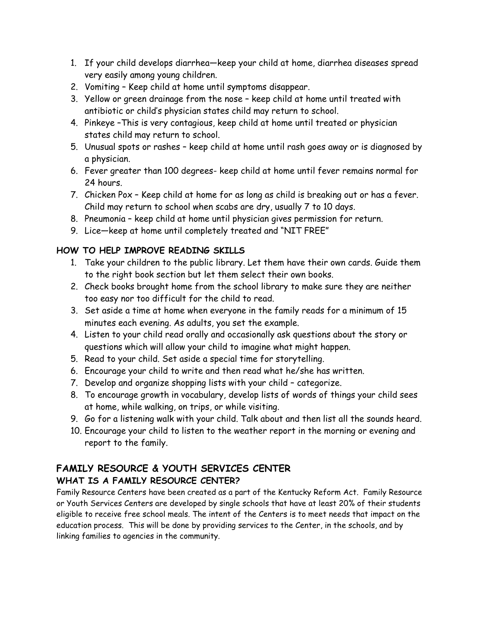- 1. If your child develops diarrhea—keep your child at home, diarrhea diseases spread very easily among young children.
- 2. Vomiting Keep child at home until symptoms disappear.
- 3. Yellow or green drainage from the nose keep child at home until treated with antibiotic or child's physician states child may return to school.
- 4. Pinkeye –This is very contagious, keep child at home until treated or physician states child may return to school.
- 5. Unusual spots or rashes keep child at home until rash goes away or is diagnosed by a physician.
- 6. Fever greater than 100 degrees- keep child at home until fever remains normal for 24 hours.
- 7. Chicken Pox Keep child at home for as long as child is breaking out or has a fever. Child may return to school when scabs are dry, usually 7 to 10 days.
- 8. Pneumonia keep child at home until physician gives permission for return.
- 9. Lice—keep at home until completely treated and "NIT FREE"

#### **HOW TO HELP IMPROVE READING SKILLS**

- 1. Take your children to the public library. Let them have their own cards. Guide them to the right book section but let them select their own books.
- 2. Check books brought home from the school library to make sure they are neither too easy nor too difficult for the child to read.
- 3. Set aside a time at home when everyone in the family reads for a minimum of 15 minutes each evening. As adults, you set the example.
- 4. Listen to your child read orally and occasionally ask questions about the story or questions which will allow your child to imagine what might happen.
- 5. Read to your child. Set aside a special time for storytelling.
- 6. Encourage your child to write and then read what he/she has written.
- 7. Develop and organize shopping lists with your child categorize.
- 8. To encourage growth in vocabulary, develop lists of words of things your child sees at home, while walking, on trips, or while visiting.
- 9. Go for a listening walk with your child. Talk about and then list all the sounds heard.
- 10. Encourage your child to listen to the weather report in the morning or evening and report to the family.

#### **FAMILY RESOURCE & YOUTH SERVICES CENTER WHAT IS A FAMILY RESOURCE CENTER?**

Family Resource Centers have been created as a part of the Kentucky Reform Act. Family Resource or Youth Services Centers are developed by single schools that have at least 20% of their students eligible to receive free school meals. The intent of the Centers is to meet needs that impact on the education process. This will be done by providing services to the Center, in the schools, and by linking families to agencies in the community.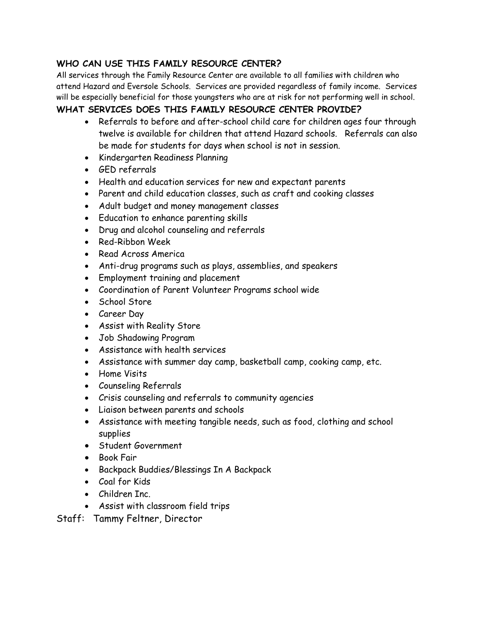#### **WHO CAN USE THIS FAMILY RESOURCE CENTER?**

All services through the Family Resource Center are available to all families with children who attend Hazard and Eversole Schools. Services are provided regardless of family income. Services will be especially beneficial for those youngsters who are at risk for not performing well in school.

#### **WHAT SERVICES DOES THIS FAMILY RESOURCE CENTER PROVIDE?**

- Referrals to before and after-school child care for children ages four through twelve is available for children that attend Hazard schools. Referrals can also be made for students for days when school is not in session.
- Kindergarten Readiness Planning
- GED referrals
- Health and education services for new and expectant parents
- Parent and child education classes, such as craft and cooking classes
- Adult budget and money management classes
- Education to enhance parenting skills
- Drug and alcohol counseling and referrals
- Red-Ribbon Week
- Read Across America
- Anti-drug programs such as plays, assemblies, and speakers
- Employment training and placement
- Coordination of Parent Volunteer Programs school wide
- School Store
- Career Day
- Assist with Reality Store
- Job Shadowing Program
- Assistance with health services
- Assistance with summer day camp, basketball camp, cooking camp, etc.
- Home Visits
- Counseling Referrals
- Crisis counseling and referrals to community agencies
- Liaison between parents and schools
- Assistance with meeting tangible needs, such as food, clothing and school supplies
- Student Government
- Book Fair
- Backpack Buddies/Blessings In A Backpack
- Coal for Kids
- Children Inc.
- Assist with classroom field trips
- Staff: Tammy Feltner, Director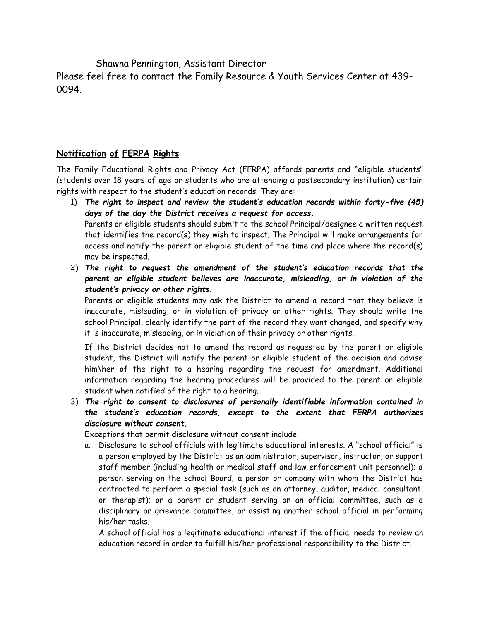Shawna Pennington, Assistant Director

Please feel free to contact the Family Resource & Youth Services Center at 439- 0094.

#### **Notification of FERPA Rights**

The Family Educational Rights and Privacy Act (FERPA) affords parents and "eligible students" (students over 18 years of age or students who are attending a postsecondary institution) certain rights with respect to the student's education records. They are:

- 1) *The right to inspect and review the student's education records within forty-five (45) days of the day the District receives a request for access.* Parents or eligible students should submit to the school Principal/designee a written request that identifies the record(s) they wish to inspect. The Principal will make arrangements for access and notify the parent or eligible student of the time and place where the record(s) may be inspected.
- 2) *The right to request the amendment of the student's education records that the parent or eligible student believes are inaccurate, misleading, or in violation of the student's privacy or other rights.*

Parents or eligible students may ask the District to amend a record that they believe is inaccurate, misleading, or in violation of privacy or other rights. They should write the school Principal, clearly identify the part of the record they want changed, and specify why it is inaccurate, misleading, or in violation of their privacy or other rights.

If the District decides not to amend the record as requested by the parent or eligible student, the District will notify the parent or eligible student of the decision and advise him\her of the right to a hearing regarding the request for amendment. Additional information regarding the hearing procedures will be provided to the parent or eligible student when notified of the right to a hearing.

3) *The right to consent to disclosures of personally identifiable information contained in the student's education records, except to the extent that FERPA authorizes disclosure without consent.*

Exceptions that permit disclosure without consent include:

a. Disclosure to school officials with legitimate educational interests. A "school official" is a person employed by the District as an administrator, supervisor, instructor, or support staff member (including health or medical staff and law enforcement unit personnel); a person serving on the school Board; a person or company with whom the District has contracted to perform a special task (such as an attorney, auditor, medical consultant, or therapist); or a parent or student serving on an official committee, such as a disciplinary or grievance committee, or assisting another school official in performing his/her tasks.

A school official has a legitimate educational interest if the official needs to review an education record in order to fulfill his/her professional responsibility to the District.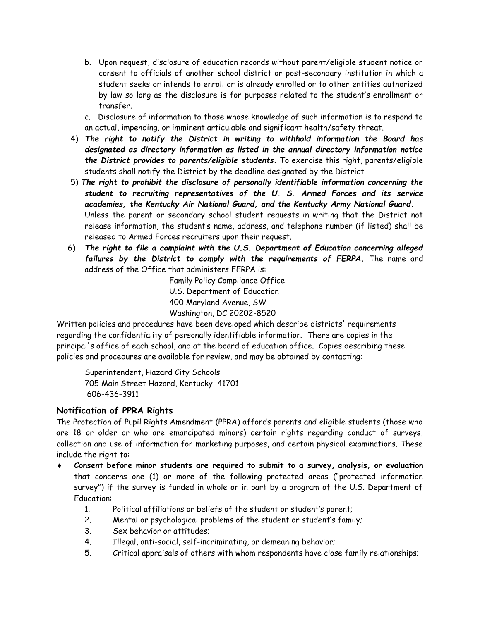- b. Upon request, disclosure of education records without parent/eligible student notice or consent to officials of another school district or post-secondary institution in which a student seeks or intends to enroll or is already enrolled or to other entities authorized by law so long as the disclosure is for purposes related to the student's enrollment or transfer.
- c. Disclosure of information to those whose knowledge of such information is to respond to an actual, impending, or imminent articulable and significant health/safety threat.
- 4) *The right to notify the District in writing to withhold information the Board has designated as directory information as listed in the annual directory information notice the District provides to parents/eligible students.* To exercise this right, parents/eligible students shall notify the District by the deadline designated by the District.
- 5) *The right to prohibit the disclosure of personally identifiable information concerning the student to recruiting representatives of the U. S. Armed Forces and its service academies, the Kentucky Air National Guard, and the Kentucky Army National Guard.* Unless the parent or secondary school student requests in writing that the District not release information, the student's name, address, and telephone number (if listed) shall be released to Armed Forces recruiters upon their request.
- 6) *The right to file a complaint with the U.S. Department of Education concerning alleged failures by the District to comply with the requirements of FERPA.* The name and address of the Office that administers FERPA is:

Family Policy Compliance Office U.S. Department of Education 400 Maryland Avenue, SW Washington, DC 20202-8520

Written policies and procedures have been developed which describe districts' requirements regarding the confidentiality of personally identifiable information. There are copies in the principal's office of each school, and at the board of education office. Copies describing these policies and procedures are available for review, and may be obtained by contacting:

Superintendent, Hazard City Schools 705 Main Street Hazard, Kentucky 41701 606-436-3911

#### **Notification of PPRA Rights**

The Protection of Pupil Rights Amendment (PPRA) affords parents and eligible students (those who are 18 or older or who are emancipated minors) certain rights regarding conduct of surveys, collection and use of information for marketing purposes, and certain physical examinations. These include the right to:

- **Consent before minor students are required to submit to a survey, analysis, or evaluation** that concerns one (1) or more of the following protected areas ("protected information survey") if the survey is funded in whole or in part by a program of the U.S. Department of Education:
	- 1. Political affiliations or beliefs of the student or student's parent;
	- 2. Mental or psychological problems of the student or student's family;
	- 3. Sex behavior or attitudes;
	- 4. Illegal, anti-social, self-incriminating, or demeaning behavior;
	- 5. Critical appraisals of others with whom respondents have close family relationships;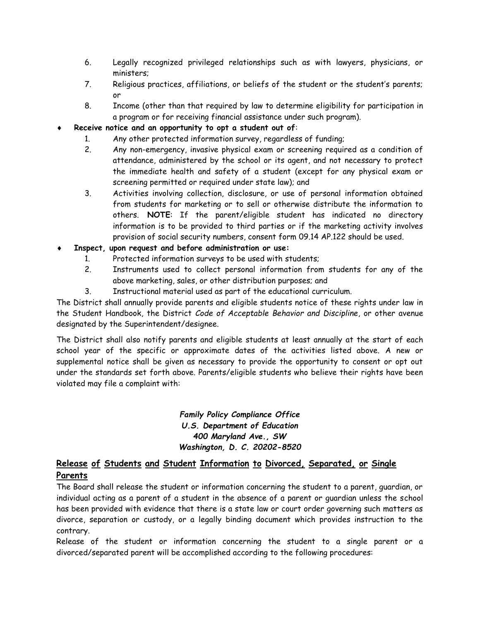- 6. Legally recognized privileged relationships such as with lawyers, physicians, or ministers;
- 7. Religious practices, affiliations, or beliefs of the student or the student's parents; or
- 8. Income (other than that required by law to determine eligibility for participation in a program or for receiving financial assistance under such program).
- **Receive notice and an opportunity to opt a student out of**:
	- 1. Any other protected information survey, regardless of funding;
	- 2. Any non-emergency, invasive physical exam or screening required as a condition of attendance, administered by the school or its agent, and not necessary to protect the immediate health and safety of a student (except for any physical exam or screening permitted or required under state law); and
	- 3. Activities involving collection, disclosure, or use of personal information obtained from students for marketing or to sell or otherwise distribute the information to others. **NOTE**: If the parent/eligible student has indicated no directory information is to be provided to third parties or if the marketing activity involves provision of social security numbers, consent form 09.14 AP.122 should be used.
- **Inspect, upon request and before administration or use:**
	- 1. Protected information surveys to be used with students;
	- 2. Instruments used to collect personal information from students for any of the above marketing, sales, or other distribution purposes; and
	- 3. Instructional material used as part of the educational curriculum.

The District shall annually provide parents and eligible students notice of these rights under law in the Student Handbook, the District *Code of Acceptable Behavior and Discipline*, or other avenue designated by the Superintendent/designee.

The District shall also notify parents and eligible students at least annually at the start of each school year of the specific or approximate dates of the activities listed above. A new or supplemental notice shall be given as necessary to provide the opportunity to consent or opt out under the standards set forth above. Parents/eligible students who believe their rights have been violated may file a complaint with:

#### *Family Policy Compliance Office U.S. Department of Education 400 Maryland Ave., SW Washington, D. C. 20202-8520*

#### **Release of Students and Student Information to Divorced, Separated, or Single Parents**

The Board shall release the student or information concerning the student to a parent, guardian, or individual acting as a parent of a student in the absence of a parent or guardian unless the school has been provided with evidence that there is a state law or court order governing such matters as divorce, separation or custody, or a legally binding document which provides instruction to the contrary.

Release of the student or information concerning the student to a single parent or a divorced/separated parent will be accomplished according to the following procedures: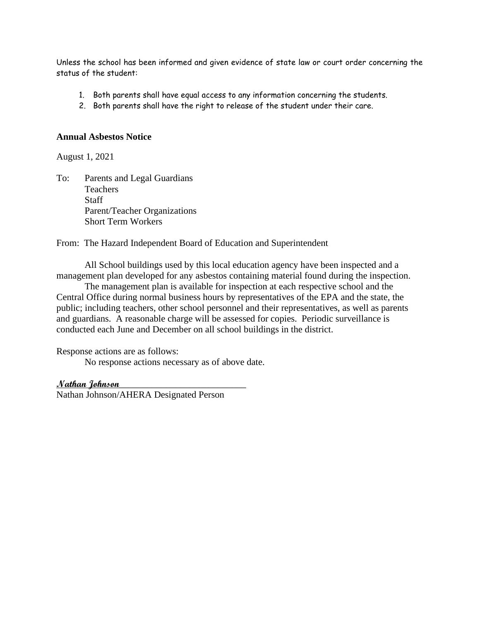Unless the school has been informed and given evidence of state law or court order concerning the status of the student:

- 1. Both parents shall have equal access to any information concerning the students.
- 2. Both parents shall have the right to release of the student under their care.

#### **Annual Asbestos Notice**

August 1, 2021

To: Parents and Legal Guardians Teachers **Staff** Parent/Teacher Organizations Short Term Workers

#### From: The Hazard Independent Board of Education and Superintendent

All School buildings used by this local education agency have been inspected and a management plan developed for any asbestos containing material found during the inspection.

The management plan is available for inspection at each respective school and the Central Office during normal business hours by representatives of the EPA and the state, the public; including teachers, other school personnel and their representatives, as well as parents and guardians. A reasonable charge will be assessed for copies. Periodic surveillance is conducted each June and December on all school buildings in the district.

Response actions are as follows:

No response actions necessary as of above date.

#### **Nathan Johnson**\_\_\_\_\_\_\_\_\_\_\_\_\_\_\_\_\_\_\_\_\_\_\_\_\_\_\_

Nathan Johnson/AHERA Designated Person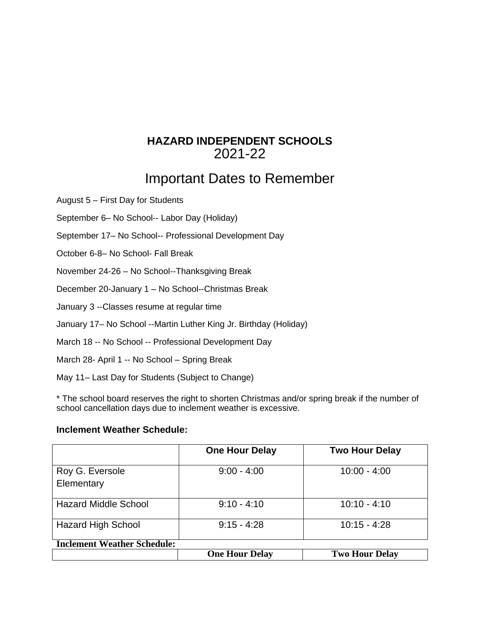### **HAZARD INDEPENDENT SCHOOLS** 2021-22

# Important Dates to Remember

August 5 – First Day for Students

September 6– No School-- Labor Day (Holiday)

September 17– No School-- Professional Development Day

October 6-8– No School- Fall Break

November 24-26 – No School--Thanksgiving Break

December 20-January 1 – No School--Christmas Break

January 3 --Classes resume at regular time

January 17– No School --Martin Luther King Jr. Birthday (Holiday)

March 18 -- No School -- Professional Development Day

March 28- April 1 -- No School – Spring Break

May 11– Last Day for Students (Subject to Change)

\* The school board reserves the right to shorten Christmas and/or spring break if the number of school cancellation days due to inclement weather is excessive.

#### **Inclement Weather Schedule:**

|                                    | <b>One Hour Delay</b> | <b>Two Hour Delay</b> |
|------------------------------------|-----------------------|-----------------------|
| Roy G. Eversole<br>Elementary      | $9:00 - 4:00$         | $10:00 - 4:00$        |
| <b>Hazard Middle School</b>        | $9:10 - 4:10$         | $10:10 - 4:10$        |
| <b>Hazard High School</b>          | $9:15 - 4:28$         | $10:15 - 4:28$        |
| <b>Inclement Weather Schedule:</b> |                       |                       |
|                                    | <b>One Hour Delay</b> | <b>Two Hour Delay</b> |